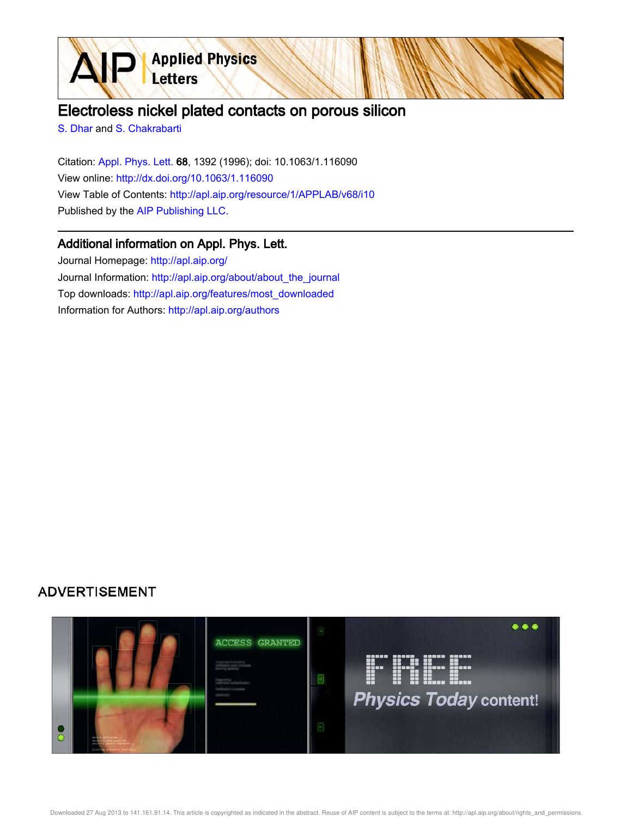

S. Dhar and S. Chakrabarti

Citation: Appl. Phys. Lett. 68, 1392 (1996); doi: 10.1063/1.116090 View online: http://dx.doi.org/10.1063/1.116090 View Table of Contents: http://apl.aip.org/resource/1/APPLAB/v68/i10 Published by the AIP Publishing LLC.

**Applied Physics** 

Letters

### Additional information on Appl. Phys. Lett.

Journal Homepage: http://apl.aip.org/ Journal Information: http://apl.aip.org/about/about\_the\_journal Top downloads: http://apl.aip.org/features/most\_downloaded Information for Authors: http://apl.aip.org/authors

# **ADVERTISEMENT**

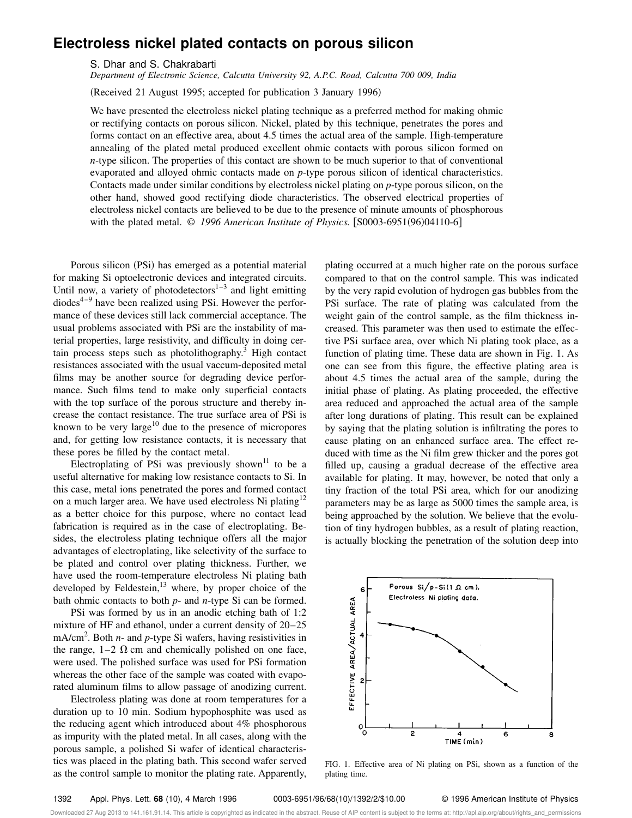## **Electroless nickel plated contacts on porous silicon**

S. Dhar and S. Chakrabarti

*Department of Electronic Science, Calcutta University 92, A.P.C. Road, Calcutta 700 009, India*

(Received 21 August 1995; accepted for publication 3 January 1996)

We have presented the electroless nickel plating technique as a preferred method for making ohmic or rectifying contacts on porous silicon. Nickel, plated by this technique, penetrates the pores and forms contact on an effective area, about 4.5 times the actual area of the sample. High-temperature annealing of the plated metal produced excellent ohmic contacts with porous silicon formed on *n*-type silicon. The properties of this contact are shown to be much superior to that of conventional evaporated and alloyed ohmic contacts made on *p*-type porous silicon of identical characteristics. Contacts made under similar conditions by electroless nickel plating on *p*-type porous silicon, on the other hand, showed good rectifying diode characteristics. The observed electrical properties of electroless nickel contacts are believed to be due to the presence of minute amounts of phosphorous with the plated metal.  $\odot$  1996 American Institute of Physics. [S0003-6951(96)04110-6]

Porous silicon (PSi) has emerged as a potential material for making Si optoelectronic devices and integrated circuits. Until now, a variety of photodetectors $1-3$  and light emitting  $diodes<sup>4-9</sup>$  have been realized using PSi. However the performance of these devices still lack commercial acceptance. The usual problems associated with PSi are the instability of material properties, large resistivity, and difficulty in doing certain process steps such as photolithography. $3$  High contact resistances associated with the usual vaccum-deposited metal films may be another source for degrading device performance. Such films tend to make only superficial contacts with the top surface of the porous structure and thereby increase the contact resistance. The true surface area of PSi is known to be very large<sup>10</sup> due to the presence of micropores and, for getting low resistance contacts, it is necessary that these pores be filled by the contact metal.

Electroplating of PSi was previously shown<sup>11</sup> to be a useful alternative for making low resistance contacts to Si. In this case, metal ions penetrated the pores and formed contact on a much larger area. We have used electroless Ni plating<sup>12</sup> as a better choice for this purpose, where no contact lead fabrication is required as in the case of electroplating. Besides, the electroless plating technique offers all the major advantages of electroplating, like selectivity of the surface to be plated and control over plating thickness. Further, we have used the room-temperature electroless Ni plating bath developed by Feldestein, $13$  where, by proper choice of the bath ohmic contacts to both *p*- and *n*-type Si can be formed.

PSi was formed by us in an anodic etching bath of 1:2 mixture of HF and ethanol, under a current density of 20–25 mA/cm<sup>2</sup>. Both *n*- and *p*-type Si wafers, having resistivities in the range,  $1-2 \Omega$  cm and chemically polished on one face, were used. The polished surface was used for PSi formation whereas the other face of the sample was coated with evaporated aluminum films to allow passage of anodizing current.

Electroless plating was done at room temperatures for a duration up to 10 min. Sodium hypophosphite was used as the reducing agent which introduced about 4% phosphorous as impurity with the plated metal. In all cases, along with the porous sample, a polished Si wafer of identical characteristics was placed in the plating bath. This second wafer served as the control sample to monitor the plating rate. Apparently, plating occurred at a much higher rate on the porous surface compared to that on the control sample. This was indicated by the very rapid evolution of hydrogen gas bubbles from the PSi surface. The rate of plating was calculated from the weight gain of the control sample, as the film thickness increased. This parameter was then used to estimate the effective PSi surface area, over which Ni plating took place, as a function of plating time. These data are shown in Fig. 1. As one can see from this figure, the effective plating area is about 4.5 times the actual area of the sample, during the initial phase of plating. As plating proceeded, the effective area reduced and approached the actual area of the sample after long durations of plating. This result can be explained by saying that the plating solution is infiltrating the pores to cause plating on an enhanced surface area. The effect reduced with time as the Ni film grew thicker and the pores got filled up, causing a gradual decrease of the effective area available for plating. It may, however, be noted that only a tiny fraction of the total PSi area, which for our anodizing parameters may be as large as 5000 times the sample area, is being approached by the solution. We believe that the evolution of tiny hydrogen bubbles, as a result of plating reaction, is actually blocking the penetration of the solution deep into



FIG. 1. Effective area of Ni plating on PSi, shown as a function of the plating time.